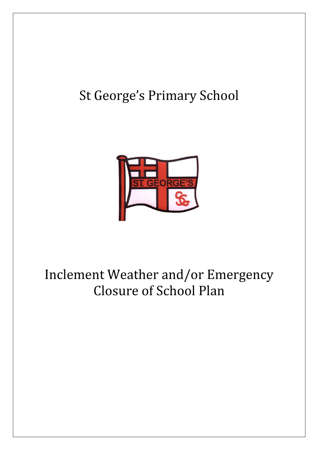## St George's Primary School



# Inclement Weather and/or Emergency Closure of School Plan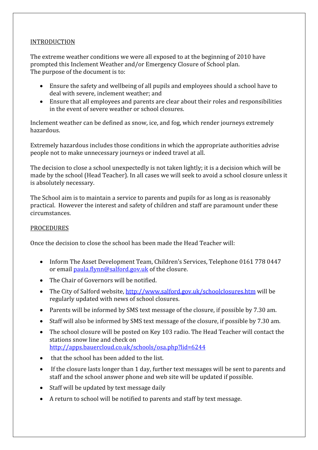#### INTRODUCTION

The extreme weather conditions we were all exposed to at the beginning of 2010 have prompted this Inclement Weather and/or Emergency Closure of School plan. The purpose of the document is to:

- Ensure the safety and wellbeing of all pupils and employees should a school have to deal with severe, inclement weather; and
- Ensure that all employees and parents are clear about their roles and responsibilities in the event of severe weather or school closures.

Inclement weather can be defined as snow, ice, and fog, which render journeys extremely hazardous.

Extremely hazardous includes those conditions in which the appropriate authorities advise people not to make unnecessary journeys or indeed travel at all.

The decision to close a school unexpectedly is not taken lightly; it is a decision which will be made by the school (Head Teacher). In all cases we will seek to avoid a school closure unless it is absolutely necessary.

The School aim is to maintain a service to parents and pupils for as long as is reasonably practical. However the interest and safety of children and staff are paramount under these circumstances.

### PROCEDURES

Once the decision to close the school has been made the Head Teacher will:

- Inform The Asset Development Team, Children's Services, Telephone 0161 778 0447 or email paula.flynn@salford.gov.uk of the closure.
- The Chair of Governors will be notified.
- The City of Salford website, http://www.salford.gov.uk/schoolclosures.htm will be regularly updated with news of school closures.
- Parents will be informed by SMS text message of the closure, if possible by 7.30 am.
- Staff will also be informed by SMS text message of the closure, if possible by 7.30 am.
- The school closure will be posted on Key 103 radio. The Head Teacher will contact the stations snow line and check on http://apps.bauercloud.co.uk/schools/osa.php?lid=6244
- that the school has been added to the list.
- If the closure lasts longer than 1 day, further text messages will be sent to parents and staff and the school answer phone and web site will be updated if possible.
- Staff will be updated by text message daily
- A return to school will be notified to parents and staff by text message.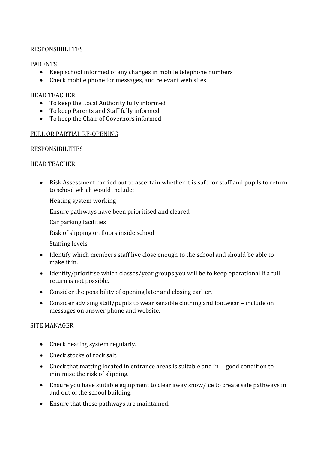#### RESPONSIBILIITES

#### PARENTS

- Keep school informed of any changes in mobile telephone numbers
- Check mobile phone for messages, and relevant web sites

#### HEAD TEACHER

- To keep the Local Authority fully informed
- To keep Parents and Staff fully informed
- To keep the Chair of Governors informed

#### FULL OR PARTIAL RE-OPENING

#### RESPONSIBILITIES

#### HEAD TEACHER

- Risk Assessment carried out to ascertain whether it is safe for staff and pupils to return to school which would include:
	- Heating system working

Ensure pathways have been prioritised and cleared

Car parking facilities

Risk of slipping on floors inside school

- Staffing levels
- Identify which members staff live close enough to the school and should be able to make it in.
- Identify/prioritise which classes/year groups you will be to keep operational if a full return is not possible.
- Consider the possibility of opening later and closing earlier.
- Consider advising staff/pupils to wear sensible clothing and footwear include on messages on answer phone and website.

#### SITE MANAGER

- Check heating system regularly.
- Check stocks of rock salt.
- Check that matting located in entrance areas is suitable and in good condition to minimise the risk of slipping.
- Ensure you have suitable equipment to clear away snow/ice to create safe pathways in and out of the school building.
- Ensure that these pathways are maintained.